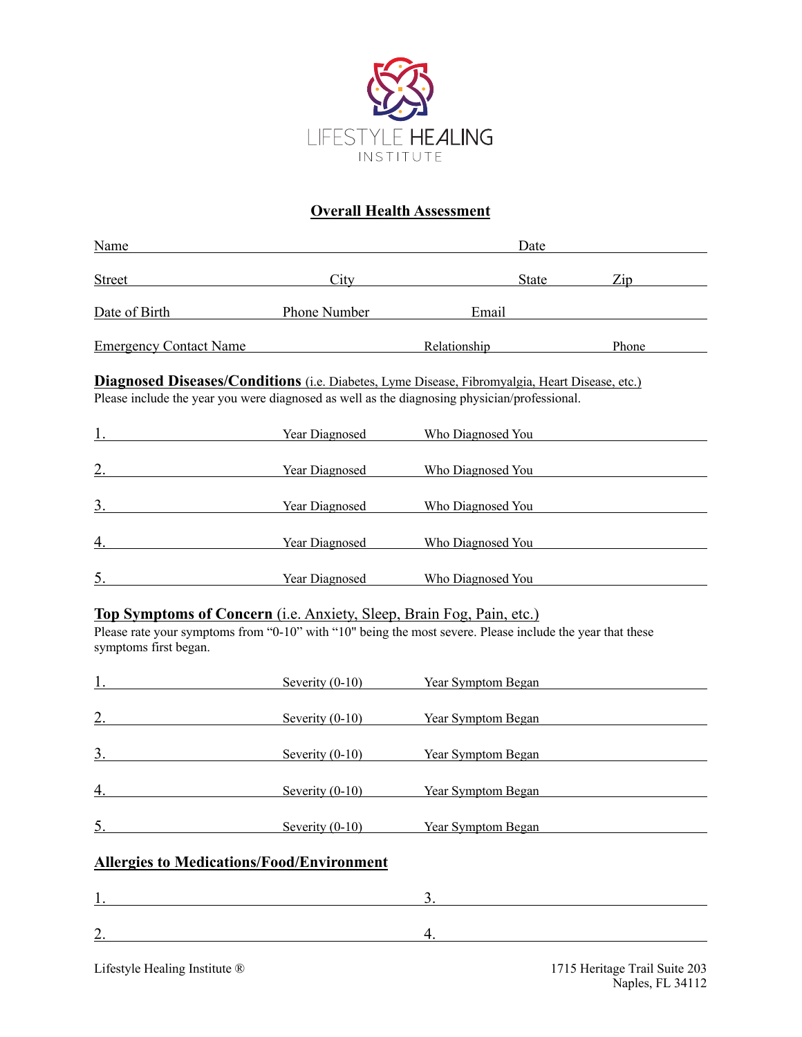

## **Overall Health Assessment**

| Name                                                                                                  |                       | Date                                                                                                      |                                                                                                                                                                                                                               |  |  |
|-------------------------------------------------------------------------------------------------------|-----------------------|-----------------------------------------------------------------------------------------------------------|-------------------------------------------------------------------------------------------------------------------------------------------------------------------------------------------------------------------------------|--|--|
| <b>Street</b>                                                                                         |                       | City City<br>State                                                                                        | $\mathbf{Zip}$                                                                                                                                                                                                                |  |  |
| Date of Birth                                                                                         | <b>Phone Number</b>   |                                                                                                           | Email and the contract of the contract of the contract of the contract of the contract of the contract of the contract of the contract of the contract of the contract of the contract of the contract of the contract of the |  |  |
| <b>Emergency Contact Name</b>                                                                         |                       | Relationship                                                                                              | Phone                                                                                                                                                                                                                         |  |  |
| <b>Diagnosed Diseases/Conditions</b> (i.e. Diabetes, Lyme Disease, Fibromyalgia, Heart Disease, etc.) |                       |                                                                                                           |                                                                                                                                                                                                                               |  |  |
|                                                                                                       |                       | Please include the year you were diagnosed as well as the diagnosing physician/professional.              |                                                                                                                                                                                                                               |  |  |
|                                                                                                       | Year Diagnosed        | Who Diagnosed You                                                                                         |                                                                                                                                                                                                                               |  |  |
| 2.                                                                                                    | Year Diagnosed        | Who Diagnosed You                                                                                         |                                                                                                                                                                                                                               |  |  |
| $\overline{3}$ .                                                                                      | <b>Year Diagnosed</b> | Who Diagnosed You                                                                                         |                                                                                                                                                                                                                               |  |  |
| $\overline{4}$ .                                                                                      | Year Diagnosed        | Who Diagnosed You                                                                                         |                                                                                                                                                                                                                               |  |  |
| 5.                                                                                                    | Year Diagnosed        | Who Diagnosed You                                                                                         |                                                                                                                                                                                                                               |  |  |
| <b>Top Symptoms of Concern</b> (i.e. Anxiety, Sleep, Brain Fog, Pain, etc.)                           |                       |                                                                                                           |                                                                                                                                                                                                                               |  |  |
| symptoms first began.                                                                                 |                       | Please rate your symptoms from "0-10" with "10" being the most severe. Please include the year that these |                                                                                                                                                                                                                               |  |  |
|                                                                                                       | Severity $(0-10)$     | <b>Year Symptom Began</b>                                                                                 |                                                                                                                                                                                                                               |  |  |
| 2.                                                                                                    | Severity $(0-10)$     | Year Symptom Began                                                                                        |                                                                                                                                                                                                                               |  |  |

| <u>.</u> | $OCVUIPY (V-IV)$  | Tear o vinponii Degan |
|----------|-------------------|-----------------------|
| 3.       | Severity $(0-10)$ | Year Symptom Began    |
| 4.       | Severity $(0-10)$ | Year Symptom Began    |
|          | Severity $(0-10)$ | Year Symptom Began    |
|          |                   |                       |

## **Allergies to Medications/Food/Environment**